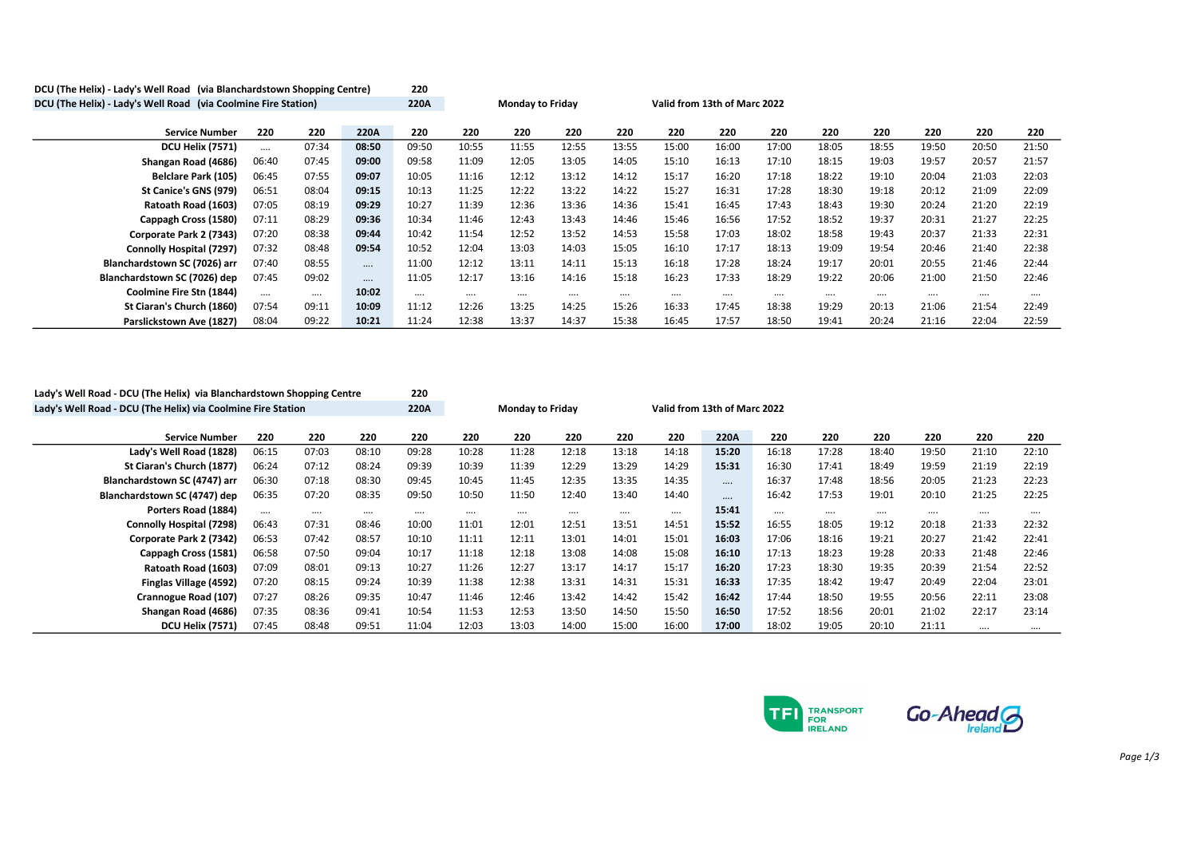| DCU (The Helix) - Lady's Well Road (via Blanchardstown Shopping Centre) |          |       |          | 220   |                         |          |          |          |                              |       |          |          |          |          |       |       |
|-------------------------------------------------------------------------|----------|-------|----------|-------|-------------------------|----------|----------|----------|------------------------------|-------|----------|----------|----------|----------|-------|-------|
| DCU (The Helix) - Lady's Well Road (via Coolmine Fire Station)          |          |       |          | 220A  | <b>Monday to Friday</b> |          |          |          | Valid from 13th of Marc 2022 |       |          |          |          |          |       |       |
|                                                                         |          |       |          |       |                         |          |          |          |                              |       |          |          |          |          |       |       |
| <b>Service Number</b>                                                   | 220      | 220   | 220A     | 220   | 220                     | 220      | 220      | 220      | 220                          | 220   | 220      | 220      | 220      | 220      | 220   | 220   |
| <b>DCU Helix (7571)</b>                                                 | $\cdots$ | 07:34 | 08:50    | 09:50 | 10:55                   | 11:55    | 12:55    | 13:55    | 15:00                        | 16:00 | 17:00    | 18:05    | 18:55    | 19:50    | 20:50 | 21:50 |
| Shangan Road (4686)                                                     | 06:40    | 07:45 | 09:00    | 09:58 | 11:09                   | 12:05    | 13:05    | 14:05    | 15:10                        | 16:13 | 17:10    | 18:15    | 19:03    | 19:57    | 20:57 | 21:57 |
| <b>Belclare Park (105)</b>                                              | 06:45    | 07:55 | 09:07    | 10:05 | 11:16                   | 12:12    | 13:12    | 14:12    | 15:17                        | 16:20 | 17:18    | 18:22    | 19:10    | 20:04    | 21:03 | 22:03 |
| St Canice's GNS (979)                                                   | 06:51    | 08:04 | 09:15    | 10:13 | 11:25                   | 12:22    | 13:22    | 14:22    | 15:27                        | 16:31 | 17:28    | 18:30    | 19:18    | 20:12    | 21:09 | 22:09 |
| Ratoath Road (1603)                                                     | 07:05    | 08:19 | 09:29    | 10:27 | 11:39                   | 12:36    | 13:36    | 14:36    | 15:41                        | 16:45 | 17:43    | 18:43    | 19:30    | 20:24    | 21:20 | 22:19 |
| Cappagh Cross (1580)                                                    | 07:11    | 08:29 | 09:36    | 10:34 | 11:46                   | 12:43    | 13:43    | 14:46    | 15:46                        | 16:56 | 17:52    | 18:52    | 19:37    | 20:31    | 21:27 | 22:25 |
| Corporate Park 2 (7343)                                                 | 07:20    | 08:38 | 09:44    | 10:42 | 11:54                   | 12:52    | 13:52    | 14:53    | 15:58                        | 17:03 | 18:02    | 18:58    | 19:43    | 20:37    | 21:33 | 22:31 |
| Connolly Hospital (7297)                                                | 07:32    | 08:48 | 09:54    | 10:52 | 12:04                   | 13:03    | 14:03    | 15:05    | 16:10                        | 17:17 | 18:13    | 19:09    | 19:54    | 20:46    | 21:40 | 22:38 |
| Blanchardstown SC (7026) arr                                            | 07:40    | 08:55 | $\cdots$ | 11:00 | 12:12                   | 13:11    | 14:11    | 15:13    | 16:18                        | 17:28 | 18:24    | 19:17    | 20:01    | 20:55    | 21:46 | 22:44 |
| Blanchardstown SC (7026) dep                                            | 07:45    | 09:02 | $\cdots$ | 11:05 | 12:17                   | 13:16    | 14:16    | 15:18    | 16:23                        | 17:33 | 18:29    | 19:22    | 20:06    | 21:00    | 21:50 | 22:46 |
| Coolmine Fire Stn (1844)                                                |          |       | 10:02    |       | $\cdots$                | $\cdots$ | $\cdots$ | $\cdots$ |                              |       | $\cdots$ | $\cdots$ | $\cdots$ | $\cdots$ |       |       |
| St Ciaran's Church (1860)                                               | 07:54    | 09:11 | 10:09    | 11:12 | 12:26                   | 13:25    | 14:25    | 15:26    | 16:33                        | 17:45 | 18:38    | 19:29    | 20:13    | 21:06    | 21:54 | 22:49 |
| Parslickstown Ave (1827)                                                | 08:04    | 09:22 | 10:21    | 11:24 | 12:38                   | 13:37    | 14:37    | 15:38    | 16:45                        | 17:57 | 18:50    | 19:41    | 20:24    | 21:16    | 22:04 | 22:59 |

| Lady's Well Road - DCU (The Helix) via Blanchardstown Shopping Centre |          |          |          |          |                         |       |       |       |                              |          |          |          |       |          |       |       |
|-----------------------------------------------------------------------|----------|----------|----------|----------|-------------------------|-------|-------|-------|------------------------------|----------|----------|----------|-------|----------|-------|-------|
| Lady's Well Road - DCU (The Helix) via Coolmine Fire Station          |          |          |          | 220A     | <b>Monday to Friday</b> |       |       |       | Valid from 13th of Marc 2022 |          |          |          |       |          |       |       |
|                                                                       |          |          |          |          |                         |       |       |       |                              |          |          |          |       |          |       |       |
| <b>Service Number</b>                                                 | 220      | 220      | 220      | 220      | 220                     | 220   | 220   | 220   | 220                          | 220A     | 220      | 220      | 220   | 220      | 220   | 220   |
| Lady's Well Road (1828)                                               | 06:15    | 07:03    | 08:10    | 09:28    | 10:28                   | 11:28 | 12:18 | 13:18 | 14:18                        | 15:20    | 16:18    | 17:28    | 18:40 | 19:50    | 21:10 | 22:10 |
| St Ciaran's Church (1877)                                             | 06:24    | 07:12    | 08:24    | 09:39    | 10:39                   | 11:39 | 12:29 | 13:29 | 14:29                        | 15:31    | 16:30    | 17:41    | 18:49 | 19:59    | 21:19 | 22:19 |
| Blanchardstown SC (4747) arr                                          | 06:30    | 07:18    | 08:30    | 09:45    | 10:45                   | 11:45 | 12:35 | 13:35 | 14:35                        | $\cdots$ | 16:37    | 17:48    | 18:56 | 20:05    | 21:23 | 22:23 |
| Blanchardstown SC (4747) dep                                          | 06:35    | 07:20    | 08:35    | 09:50    | 10:50                   | 11:50 | 12:40 | 13:40 | 14:40                        | $\cdots$ | 16:42    | 17:53    | 19:01 | 20:10    | 21:25 | 22:25 |
| Porters Road (1884)                                                   | $\cdots$ | $\cdots$ | $\cdots$ | $\cdots$ | $\cdots$                |       |       |       | $\cdots$                     | 15:41    | $\cdots$ | $\cdots$ |       | $\cdots$ |       |       |
| Connolly Hospital (7298)                                              | 06:43    | 07:31    | 08:46    | 10:00    | 11:01                   | 12:01 | 12:51 | 13:51 | 14:51                        | 15:52    | 16:55    | 18:05    | 19:12 | 20:18    | 21:33 | 22:32 |
| Corporate Park 2 (7342)                                               | 06:53    | 07:42    | 08:57    | 10:10    | 11:11                   | 12:11 | 13:01 | 14:01 | 15:01                        | 16:03    | 17:06    | 18:16    | 19:21 | 20:27    | 21:42 | 22:41 |
| Cappagh Cross (1581)                                                  | 06:58    | 07:50    | 09:04    | 10:17    | 11:18                   | 12:18 | 13:08 | 14:08 | 15:08                        | 16:10    | 17:13    | 18:23    | 19:28 | 20:33    | 21:48 | 22:46 |
| Ratoath Road (1603)                                                   | 07:09    | 08:01    | 09:13    | 10:27    | 11:26                   | 12:27 | 13:17 | 14:17 | 15:17                        | 16:20    | 17:23    | 18:30    | 19:35 | 20:39    | 21:54 | 22:52 |
| Finglas Village (4592)                                                | 07:20    | 08:15    | 09:24    | 10:39    | 11:38                   | 12:38 | 13:31 | 14:31 | 15:31                        | 16:33    | 17:35    | 18:42    | 19:47 | 20:49    | 22:04 | 23:01 |
| Crannogue Road (107)                                                  | 07:27    | 08:26    | 09:35    | 10:47    | 11:46                   | 12:46 | 13:42 | 14:42 | 15:42                        | 16:42    | 17:44    | 18:50    | 19:55 | 20:56    | 22:11 | 23:08 |
| Shangan Road (4686)                                                   | 07:35    | 08:36    | 09:41    | 10:54    | 11:53                   | 12:53 | 13:50 | 14:50 | 15:50                        | 16:50    | 17:52    | 18:56    | 20:01 | 21:02    | 22:17 | 23:14 |
| <b>DCU Helix (7571)</b>                                               | 07:45    | 08:48    | 09:51    | 11:04    | 12:03                   | 13:03 | 14:00 | 15:00 | 16:00                        | 17:00    | 18:02    | 19:05    | 20:10 | 21:11    |       |       |

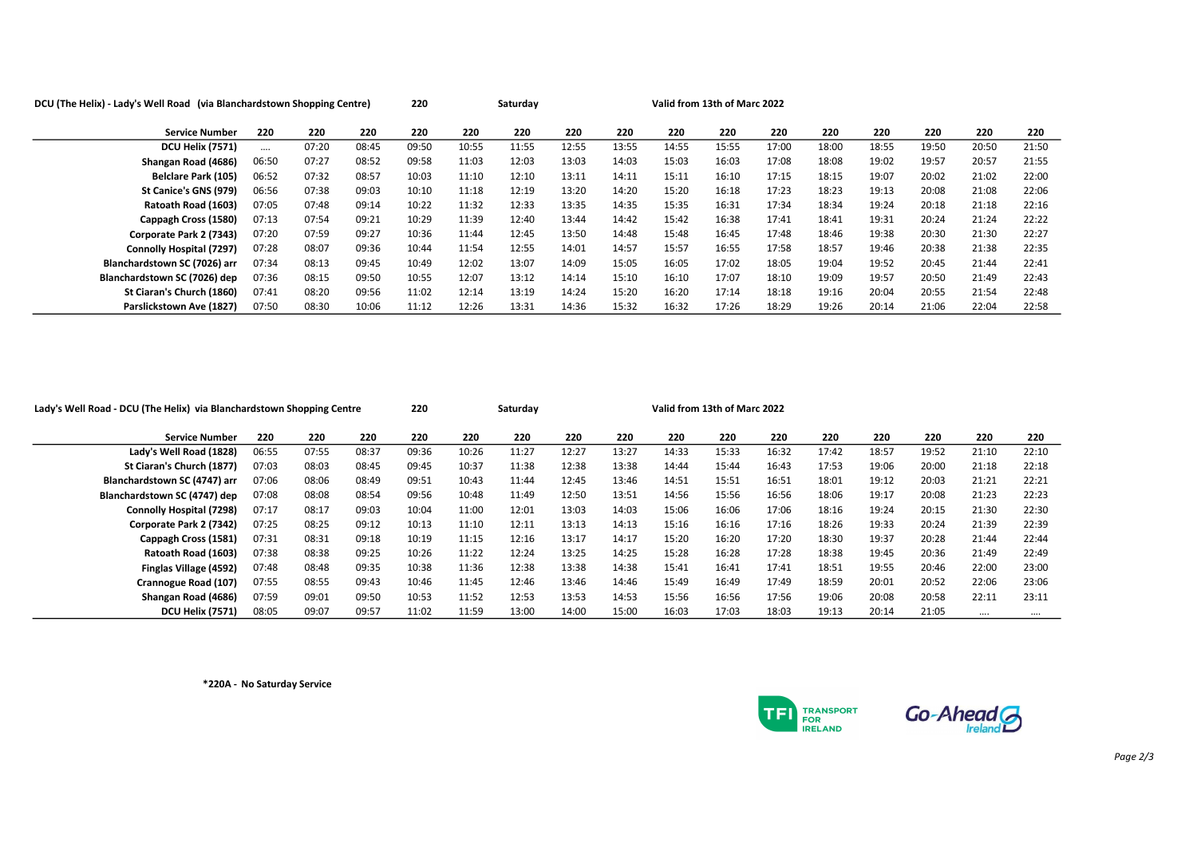| DCU (The Helix) - Lady's Well Road (via Blanchardstown Shopping Centre) |       | 220   |       | Saturday |       |       | Valid from 13th of Marc 2022 |       |       |       |       |       |       |       |       |       |
|-------------------------------------------------------------------------|-------|-------|-------|----------|-------|-------|------------------------------|-------|-------|-------|-------|-------|-------|-------|-------|-------|
| <b>Service Number</b>                                                   | 220   | 220   | 220   | 220      | 220   | 220   | 220                          | 220   | 220   | 220   | 220   | 220   | 220   | 220   | 220   | 220   |
| <b>DCU Helix (7571)</b>                                                 |       | 07:20 | 08:45 | 09:50    | 10:55 | 11:55 | 12:55                        | 13:55 | 14:55 | 15:55 | 17:00 | 18:00 | 18:55 | 19:50 | 20:50 | 21:50 |
| Shangan Road (4686)                                                     | 06:50 | 07:27 | 08:52 | 09:58    | 11:03 | 12:03 | 13:03                        | 14:03 | 15:03 | 16:03 | 17:08 | 18:08 | 19:02 | 19:57 | 20:57 | 21:55 |
| <b>Belclare Park (105)</b>                                              | 06:52 | 07:32 | 08:57 | 10:03    | 11:10 | 12:10 | 13:11                        | 14:11 | 15:11 | 16:10 | 17:15 | 18:15 | 19:07 | 20:02 | 21:02 | 22:00 |
| St Canice's GNS (979)                                                   | 06:56 | 07:38 | 09:03 | 10:10    | 11:18 | 12:19 | 13:20                        | 14:20 | 15:20 | 16:18 | 17:23 | 18:23 | 19:13 | 20:08 | 21:08 | 22:06 |
| Ratoath Road (1603)                                                     | 07:05 | 07:48 | 09:14 | 10:22    | 11:32 | 12:33 | 13:35                        | 14:35 | 15:35 | 16:31 | 17:34 | 18:34 | 19:24 | 20:18 | 21:18 | 22:16 |
| Cappagh Cross (1580)                                                    | 07:13 | 07:54 | 09:21 | 10:29    | 11:39 | 12:40 | 13:44                        | 14:42 | 15:42 | 16:38 | 17:41 | 18:41 | 19:31 | 20:24 | 21:24 | 22:22 |
| Corporate Park 2 (7343)                                                 | 07:20 | 07:59 | 09:27 | 10:36    | 11:44 | 12:45 | 13:50                        | 14:48 | 15:48 | 16:45 | 17:48 | 18:46 | 19:38 | 20:30 | 21:30 | 22:27 |
| Connolly Hospital (7297)                                                | 07:28 | 08:07 | 09:36 | 10:44    | 11:54 | 12:55 | 14:01                        | 14:57 | 15:57 | 16:55 | 17:58 | 18:57 | 19:46 | 20:38 | 21:38 | 22:35 |
| Blanchardstown SC (7026) arr                                            | 07:34 | 08:13 | 09:45 | 10:49    | 12:02 | 13:07 | 14:09                        | 15:05 | 16:05 | 17:02 | 18:05 | 19:04 | 19:52 | 20:45 | 21:44 | 22:41 |
| Blanchardstown SC (7026) dep                                            | 07:36 | 08:15 | 09:50 | 10:55    | 12:07 | 13:12 | 14:14                        | 15:10 | 16:10 | 17:07 | 18:10 | 19:09 | 19:57 | 20:50 | 21:49 | 22:43 |
| St Ciaran's Church (1860)                                               | 07:41 | 08:20 | 09:56 | 11:02    | 12:14 | 13:19 | 14:24                        | 15:20 | 16:20 | 17:14 | 18:18 | 19:16 | 20:04 | 20:55 | 21:54 | 22:48 |
| Parslickstown Ave (1827)                                                | 07:50 | 08:30 | 10:06 | 11:12    | 12:26 | 13:31 | 14:36                        | 15:32 | 16:32 | 17:26 | 18:29 | 19:26 | 20:14 | 21:06 | 22:04 | 22:58 |

| Lady's Well Road - DCU (The Helix) via Blanchardstown Shopping Centre |       |       |       | 220   |       | Saturday |       |       | Valid from 13th of Marc 2022 |       |       |       |       |       |          |       |
|-----------------------------------------------------------------------|-------|-------|-------|-------|-------|----------|-------|-------|------------------------------|-------|-------|-------|-------|-------|----------|-------|
| <b>Service Number</b>                                                 | 220   | 220   | 220   | 220   | 220   | 220      | 220   | 220   | 220                          | 220   | 220   | 220   | 220   | 220   | 220      | 220   |
| Lady's Well Road (1828)                                               | 06:55 | 07:55 | 08:37 | 09:36 | 10:26 | 11:27    | 12:27 | 13:27 | 14:33                        | 15:33 | 16:32 | 17:42 | 18:57 | 19:52 | 21:10    | 22:10 |
| St Ciaran's Church (1877)                                             | 07:03 | 08:03 | 08:45 | 09:45 | 10:37 | 11:38    | 12:38 | 13:38 | 14:44                        | 15:44 | 16:43 | 17:53 | 19:06 | 20:00 | 21:18    | 22:18 |
| Blanchardstown SC (4747) arr                                          | 07:06 | 08:06 | 08:49 | 09:51 | 10:43 | 11:44    | 12:45 | 13:46 | 14:51                        | 15:51 | 16:51 | 18:01 | 19:12 | 20:03 | 21:21    | 22:21 |
| Blanchardstown SC (4747) dep                                          | 07:08 | 08:08 | 08:54 | 09:56 | 10:48 | 11:49    | 12:50 | 13:51 | 14:56                        | 15:56 | 16:56 | 18:06 | 19:17 | 20:08 | 21:23    | 22:23 |
| <b>Connolly Hospital (7298)</b>                                       | 07:17 | 08:17 | 09:03 | 10:04 | 11:00 | 12:01    | 13:03 | 14:03 | 15:06                        | 16:06 | 17:06 | 18:16 | 19:24 | 20:15 | 21:30    | 22:30 |
| Corporate Park 2 (7342)                                               | 07:25 | 08:25 | 09:12 | 10:13 | 11:10 | 12:11    | 13:13 | 14:13 | 15:16                        | 16:16 | 17:16 | 18:26 | 19:33 | 20:24 | 21:39    | 22:39 |
| Cappagh Cross (1581)                                                  | 07:31 | 08:31 | 09:18 | 10:19 | 11:15 | 12:16    | 13:17 | 14:17 | 15:20                        | 16:20 | 17:20 | 18:30 | 19:37 | 20:28 | 21:44    | 22:44 |
| Ratoath Road (1603)                                                   | 07:38 | 08:38 | 09:25 | 10:26 | 11:22 | 12:24    | 13:25 | 14:25 | 15:28                        | 16:28 | 17:28 | 18:38 | 19:45 | 20:36 | 21:49    | 22:49 |
| Finglas Village (4592)                                                | 07:48 | 08:48 | 09:35 | 10:38 | 11:36 | 12:38    | 13:38 | 14:38 | 15:41                        | 16:41 | 17:41 | 18:51 | 19:55 | 20:46 | 22:00    | 23:00 |
| Crannogue Road (107)                                                  | 07:55 | 08:55 | 09:43 | 10:46 | 11:45 | 12:46    | 13:46 | 14:46 | 15:49                        | 16:49 | 17:49 | 18:59 | 20:01 | 20:52 | 22:06    | 23:06 |
| Shangan Road (4686)                                                   | 07:59 | 09:01 | 09:50 | 10:53 | 11:52 | 12:53    | 13:53 | 14:53 | 15:56                        | 16:56 | 17:56 | 19:06 | 20:08 | 20:58 | 22:11    | 23:11 |
| <b>DCU Helix (7571)</b>                                               | 08:05 | 09:07 | 09:57 | 11:02 | 11:59 | 13:00    | 14:00 | 15:00 | 16:03                        | 17:03 | 18:03 | 19:13 | 20:14 | 21:05 | $\cdots$ |       |

\*220A - No Saturday Service